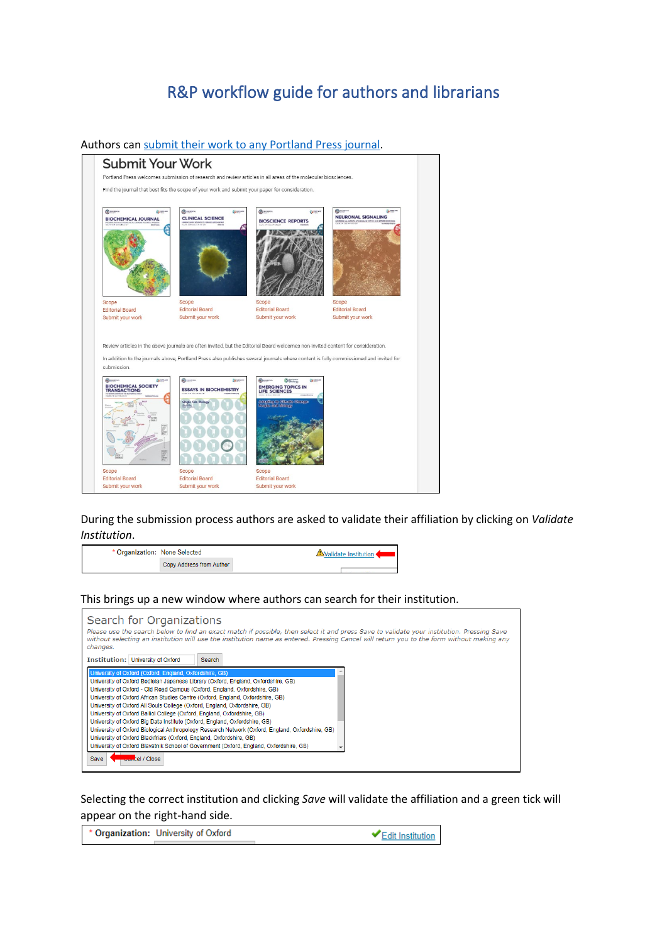## R&P workflow guide for authors and librarians

Authors can [submit their work to any Portland Press journal.](https://portlandpress.com/pages/submit_your_work)



During the submission process authors are asked to validate their affiliation by clicking on *Validate Institution*.

| * Organization: None Selected |                          | <b>△Validate Institution ◆</b> |
|-------------------------------|--------------------------|--------------------------------|
|                               | Copy Address from Author |                                |

## This brings up a new window where authors can search for their institution.

| Search for Organizations<br>Please use the search below to find an exact match if possible, then select it and press Save to validate your institution. Pressing Save<br>without selecting an institution will use the institution name as entered. Pressing Cancel will return you to the form without making any<br>changes.                                                                                                                                                                                                                                                                                                                                                                                                                                                                                         |  |
|------------------------------------------------------------------------------------------------------------------------------------------------------------------------------------------------------------------------------------------------------------------------------------------------------------------------------------------------------------------------------------------------------------------------------------------------------------------------------------------------------------------------------------------------------------------------------------------------------------------------------------------------------------------------------------------------------------------------------------------------------------------------------------------------------------------------|--|
| <b>Institution: University of Oxford</b><br>Search                                                                                                                                                                                                                                                                                                                                                                                                                                                                                                                                                                                                                                                                                                                                                                     |  |
| University of Oxford (Oxford, England, Oxfordshire, GB)<br>University of Oxford Bodleian Japanese Library (Oxford, England, Oxfordshire, GB)<br>University of Oxford - Old Road Campus (Oxford, England, Oxfordshire, GB)<br>University of Oxford African Studies Centre (Oxford, England, Oxfordshire, GB)<br>University of Oxford All Souls College (Oxford, England, Oxfordshire, GB)<br>University of Oxford Balliol College (Oxford, England, Oxfordshire, GB)<br>University of Oxford Big Data Institute (Oxford, England, Oxfordshire, GB)<br>University of Oxford Biological Anthropology Research Network (Oxford, England, Oxfordshire, GB)<br>University of Oxford Blackfriars (Oxford, England, Oxfordshire, GB)<br>University of Oxford Blavatnik School of Government (Oxford, England, Oxfordshire, GB) |  |
| cel / Close<br><b>Save</b>                                                                                                                                                                                                                                                                                                                                                                                                                                                                                                                                                                                                                                                                                                                                                                                             |  |

Selecting the correct institution and clicking *Save* will validate the affiliation and a green tick will appear on the right-hand side.

Organization: University of Oxford Edit Institution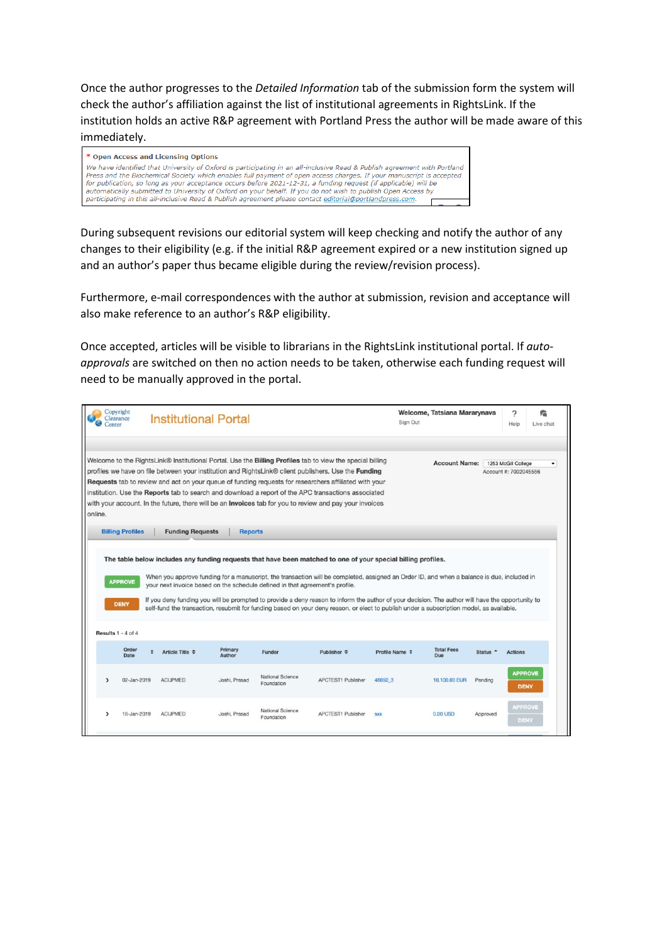Once the author progresses to the *Detailed Information* tab of the submission form the system will check the author's affiliation against the list of institutional agreements in RightsLink. If the institution holds an active R&P agreement with Portland Press the author will be made aware of this immediately.



During subsequent revisions our editorial system will keep checking and notify the author of any changes to their eligibility (e.g. if the initial R&P agreement expired or a new institution signed up and an author's paper thus became eligible during the review/revision process).

Furthermore, e-mail correspondences with the author at submission, revision and acceptance will also make reference to an author's R&P eligibility.

Once accepted, articles will be visible to librarians in the RightsLink institutional portal. If *autoapprovals* are switched on then no action needs to be taken, otherwise each funding request will need to be manually approved in the portal.

| Center                    | Copyright<br>Clearance        | <b>Institutional Portal</b>                                                  |                                |                                |                                                                                                                                                                                                                                                                                                                                                                                                                                                                                                                                                            | Sign Out            | Welcome, Tatsiana Mararynava                                                                                                                                                                                                                                                                                                                                                                                                               | 2<br>Help                                    | 詹<br>Live chat                |
|---------------------------|-------------------------------|------------------------------------------------------------------------------|--------------------------------|--------------------------------|------------------------------------------------------------------------------------------------------------------------------------------------------------------------------------------------------------------------------------------------------------------------------------------------------------------------------------------------------------------------------------------------------------------------------------------------------------------------------------------------------------------------------------------------------------|---------------------|--------------------------------------------------------------------------------------------------------------------------------------------------------------------------------------------------------------------------------------------------------------------------------------------------------------------------------------------------------------------------------------------------------------------------------------------|----------------------------------------------|-------------------------------|
| online.                   |                               |                                                                              |                                |                                | Welcome to the RightsLink® Institutional Portal. Use the Billing Profiles tab to view the special billing<br>profiles we have on file between your institution and RightsLink® client publishers. Use the Funding<br><b>Requests</b> tab to review and act on your queue of funding requests for researchers affiliated with your<br>institution. Use the Reports tab to search and download a report of the APC transactions associated<br>with your account. In the future, there will be an <b>Invoices</b> tab for you to review and pay your invoices |                     | <b>Account Name:</b>                                                                                                                                                                                                                                                                                                                                                                                                                       | 1253 McGill College<br>Account #: 7002045556 | ۰                             |
|                           | <b>Billing Profiles</b>       | <b>Funding Requests</b>                                                      | <b>Reports</b>                 |                                |                                                                                                                                                                                                                                                                                                                                                                                                                                                                                                                                                            |                     |                                                                                                                                                                                                                                                                                                                                                                                                                                            |                                              |                               |
|                           | <b>APPROVE</b><br><b>DENY</b> | your next invoice based on the schedule defined in that agreement's profile. |                                |                                | The table below includes any funding requests that have been matched to one of your special billing profiles.                                                                                                                                                                                                                                                                                                                                                                                                                                              |                     | When you approve funding for a manuscript, the transaction will be completed, assigned an Order ID, and when a balance is due, included in<br>If you deny funding you will be prompted to provide a deny reason to inform the author of your decision. The author will have the opportunity to<br>self-fund the transaction, resubmit for funding based on your deny reason, or elect to publish under a subscription model, as available. |                                              |                               |
| <b>Results 1 - 4 of 4</b> | Order                         | Article Title $\div$                                                         | Primary                        | Funder                         | Publisher $ightharpoonup$                                                                                                                                                                                                                                                                                                                                                                                                                                                                                                                                  | Profile Name $\div$ | <b>Total Fees</b><br>Status <sup>+</sup>                                                                                                                                                                                                                                                                                                                                                                                                   | <b>Actions</b>                               |                               |
| $\lambda$                 | Date<br>02-Jan-2019           | <b>ACUPMED</b>                                                               | <b>Author</b><br>Joshi, Prasad | National Science<br>Foundation | <b>APCTEST1 Publisher</b>                                                                                                                                                                                                                                                                                                                                                                                                                                                                                                                                  | 48050 3             | Due<br>10,100.00 EUR<br>Pending                                                                                                                                                                                                                                                                                                                                                                                                            |                                              | <b>APPROVE</b><br><b>DENY</b> |
|                           | 16-Jan-2019                   | <b>ACUPMED</b>                                                               | Joshi, Prasad                  | National Science<br>Foundation | <b>APCTEST1 Publisher</b>                                                                                                                                                                                                                                                                                                                                                                                                                                                                                                                                  | <b>SXX</b>          | 0.00 USD<br>Approved                                                                                                                                                                                                                                                                                                                                                                                                                       |                                              | <b>APPROVE</b><br>DENY        |